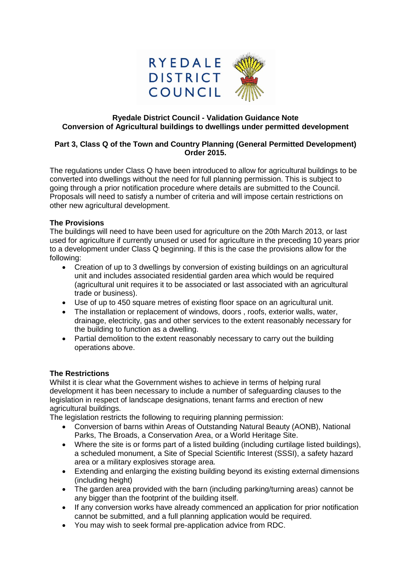

#### **Ryedale District Council - Validation Guidance Note Conversion of Agricultural buildings to dwellings under permitted development**

# **Part 3, Class Q of the Town and Country Planning (General Permitted Development) Order 2015.**

The regulations under Class Q have been introduced to allow for agricultural buildings to be converted into dwellings without the need for full planning permission. This is subject to going through a prior notification procedure where details are submitted to the Council. Proposals will need to satisfy a number of criteria and will impose certain restrictions on other new agricultural development.

## **The Provisions**

The buildings will need to have been used for agriculture on the 20th March 2013, or last used for agriculture if currently unused or used for agriculture in the preceding 10 years prior to a development under Class Q beginning. If this is the case the provisions allow for the following:

- Creation of up to 3 dwellings by conversion of existing buildings on an agricultural unit and includes associated residential garden area which would be required (agricultural unit requires it to be associated or last associated with an agricultural trade or business).
- Use of up to 450 square metres of existing floor space on an agricultural unit.
- The installation or replacement of windows, doors , roofs, exterior walls, water, drainage, electricity, gas and other services to the extent reasonably necessary for the building to function as a dwelling.
- Partial demolition to the extent reasonably necessary to carry out the building operations above.

## **The Restrictions**

Whilst it is clear what the Government wishes to achieve in terms of helping rural development it has been necessary to include a number of safeguarding clauses to the legislation in respect of landscape designations, tenant farms and erection of new agricultural buildings.

The legislation restricts the following to requiring planning permission:

- Conversion of barns within Areas of Outstanding Natural Beauty (AONB), National Parks, The Broads, a Conservation Area, or a World Heritage Site.
- Where the site is or forms part of a listed building (including curtilage listed buildings), a scheduled monument, a Site of Special Scientific Interest (SSSI), a safety hazard area or a military explosives storage area.
- Extending and enlarging the existing building beyond its existing external dimensions (including height)
- The garden area provided with the barn (including parking/turning areas) cannot be any bigger than the footprint of the building itself.
- If any conversion works have already commenced an application for prior notification cannot be submitted, and a full planning application would be required.
- You may wish to seek formal pre-application advice from RDC.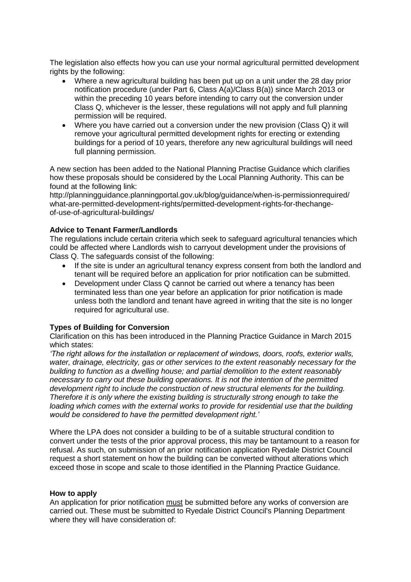The legislation also effects how you can use your normal agricultural permitted development rights by the following:

- Where a new agricultural building has been put up on a unit under the 28 day prior notification procedure (under Part 6, Class A(a)/Class B(a)) since March 2013 or within the preceding 10 years before intending to carry out the conversion under Class Q, whichever is the lesser, these regulations will not apply and full planning permission will be required.
- Where you have carried out a conversion under the new provision (Class Q) it will remove your agricultural permitted development rights for erecting or extending buildings for a period of 10 years, therefore any new agricultural buildings will need full planning permission.

A new section has been added to the National Planning Practise Guidance which clarifies how these proposals should be considered by the Local Planning Authority. This can be found at the following link:

http://planningguidance.planningportal.gov.uk/blog/guidance/when-is-permissionrequired/ what-are-permitted-development-rights/permitted-development-rights-for-thechangeof-use-of-agricultural-buildings/

## **Advice to Tenant Farmer/Landlords**

The regulations include certain criteria which seek to safeguard agricultural tenancies which could be affected where Landlords wish to carryout development under the provisions of Class Q. The safeguards consist of the following:

- If the site is under an agricultural tenancy express consent from both the landlord and tenant will be required before an application for prior notification can be submitted.
- Development under Class Q cannot be carried out where a tenancy has been terminated less than one year before an application for prior notification is made unless both the landlord and tenant have agreed in writing that the site is no longer required for agricultural use.

## **Types of Building for Conversion**

Clarification on this has been introduced in the Planning Practice Guidance in March 2015 which states:

*'The right allows for the installation or replacement of windows, doors, roofs, exterior walls, water, drainage, electricity, gas or other services to the extent reasonably necessary for the building to function as a dwelling house; and partial demolition to the extent reasonably necessary to carry out these building operations. It is not the intention of the permitted development right to include the construction of new structural elements for the building. Therefore it is only where the existing building is structurally strong enough to take the loading which comes with the external works to provide for residential use that the building would be considered to have the permitted development right.'*

Where the LPA does not consider a building to be of a suitable structural condition to convert under the tests of the prior approval process, this may be tantamount to a reason for refusal. As such, on submission of an prior notification application Ryedale District Council request a short statement on how the building can be converted without alterations which exceed those in scope and scale to those identified in the Planning Practice Guidance.

#### **How to apply**

An application for prior notification must be submitted before any works of conversion are carried out. These must be submitted to Ryedale District Council's Planning Department where they will have consideration of: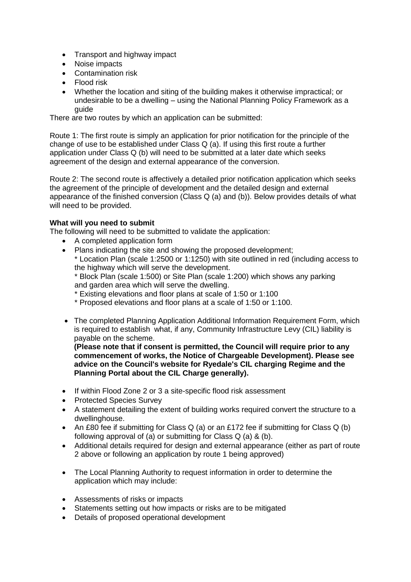- Transport and highway impact
- Noise impacts
- Contamination risk
- **Flood risk**
- Whether the location and siting of the building makes it otherwise impractical; or undesirable to be a dwelling – using the National Planning Policy Framework as a guide

There are two routes by which an application can be submitted:

Route 1: The first route is simply an application for prior notification for the principle of the change of use to be established under Class Q (a). If using this first route a further application under Class Q (b) will need to be submitted at a later date which seeks agreement of the design and external appearance of the conversion.

Route 2: The second route is affectively a detailed prior notification application which seeks the agreement of the principle of development and the detailed design and external appearance of the finished conversion (Class Q (a) and (b)). Below provides details of what will need to be provided.

# **What will you need to submit**

The following will need to be submitted to validate the application:

- A completed application form
- Plans indicating the site and showing the proposed development;

\* Location Plan (scale 1:2500 or 1:1250) with site outlined in red (including access to the highway which will serve the development.

\* Block Plan (scale 1:500) or Site Plan (scale 1:200) which shows any parking and garden area which will serve the dwelling.

\* Existing elevations and floor plans at scale of 1:50 or 1:100

- \* Proposed elevations and floor plans at a scale of 1:50 or 1:100.
- The completed Planning Application Additional Information Requirement Form, which is required to establish what, if any, Community Infrastructure Levy (CIL) liability is payable on the scheme.

**(Please note that if consent is permitted, the Council will require prior to any commencement of works, the Notice of Chargeable Development). Please see advice on the Council's website for Ryedale's CIL charging Regime and the Planning Portal about the CIL Charge generally).** 

- If within Flood Zone 2 or 3 a site-specific flood risk assessment
- Protected Species Survey
- A statement detailing the extent of building works required convert the structure to a dwellinghouse.
- An £80 fee if submitting for Class Q (a) or an £172 fee if submitting for Class Q (b) following approval of (a) or submitting for Class Q (a) & (b).
- Additional details required for design and external appearance (either as part of route 2 above or following an application by route 1 being approved)
- The Local Planning Authority to request information in order to determine the application which may include:
- Assessments of risks or impacts
- Statements setting out how impacts or risks are to be mitigated
- Details of proposed operational development